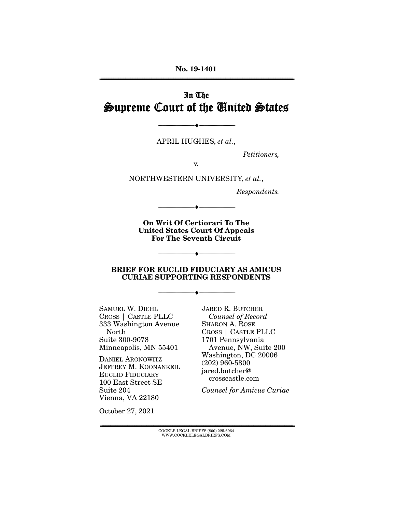**No. 19-1401**  ================================================================================================================

# In The Supreme Court of the United States

APRIL HUGHES, *et al.*,

--------------------------------- ♦ ---------------------------------

*Petitioners,* 

v.

NORTHWESTERN UNIVERSITY, *et al.*,

*Respondents.* 

**On Writ Of Certiorari To The United States Court Of Appeals For The Seventh Circuit** 

--------------------------------- ♦ ---------------------------------

--------------------------------- ♦ ---------------------------------

#### **BRIEF FOR EUCLID FIDUCIARY AS AMICUS CURIAE SUPPORTING RESPONDENTS**

--------------------------------- ♦ ---------------------------------

SAMUEL W. DIEHL CROSS | CASTLE PLLC 333 Washington Avenue North Suite 300-9078 Minneapolis, MN 55401

DANIEL ARONOWITZ JEFFREY M. KOONANKEIL EUCLID FIDUCIARY 100 East Street SE Suite 204 Vienna, VA 22180

JARED R. BUTCHER *Counsel of Record*  SHARON A. ROSE CROSS | CASTLE PLLC 1701 Pennsylvania Avenue, NW, Suite 200 Washington, DC 20006 (202) 960-5800 jared.butcher@ crosscastle.com

*Counsel for Amicus Curiae* 

October 27, 2021

 $\text{COCKLE LEGAL BRIEFS}$  (800) 225-6964 WWW.COCKLELEGALBRIEFS.COM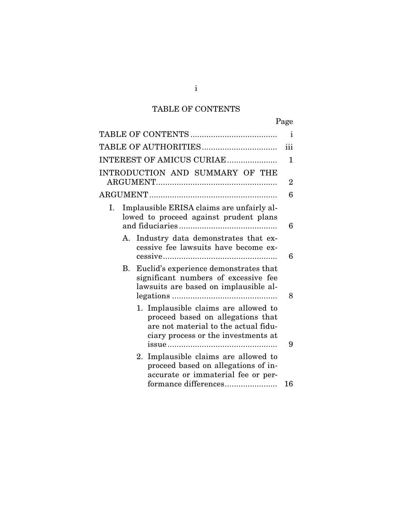# TABLE OF CONTENTS

|                                                                                                                                                          | Page |
|----------------------------------------------------------------------------------------------------------------------------------------------------------|------|
|                                                                                                                                                          | 1    |
|                                                                                                                                                          | iii  |
| INTEREST OF AMICUS CURIAE                                                                                                                                | 1    |
| INTRODUCTION AND SUMMARY OF THE                                                                                                                          |      |
|                                                                                                                                                          | 2    |
|                                                                                                                                                          | 6    |
| Implausible ERISA claims are unfairly al-<br>Ι.<br>lowed to proceed against prudent plans                                                                | 6    |
| Industry data demonstrates that ex-<br>А.<br>cessive fee lawsuits have become ex-                                                                        | 6    |
| Euclid's experience demonstrates that<br>В.<br>significant numbers of excessive fee<br>lawsuits are based on implausible al-                             | 8    |
| 1. Implausible claims are allowed to<br>proceed based on allegations that<br>are not material to the actual fidu-<br>ciary process or the investments at | 9    |
| 2. Implausible claims are allowed to<br>proceed based on allegations of in-<br>accurate or immaterial fee or per-<br>formance differences                | 16   |

i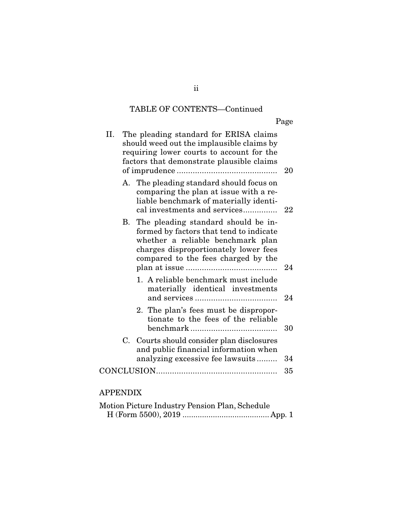# TABLE OF CONTENTS—Continued

Page

| П. |    | The pleading standard for ERISA claims<br>should weed out the implausible claims by<br>requiring lower courts to account for the<br>factors that demonstrate plausible claims                       | 20 |
|----|----|-----------------------------------------------------------------------------------------------------------------------------------------------------------------------------------------------------|----|
|    |    | A. The pleading standard should focus on<br>comparing the plan at issue with a re-<br>liable benchmark of materially identi-<br>cal investments and services                                        | 22 |
|    | В. | The pleading standard should be in-<br>formed by factors that tend to indicate<br>whether a reliable benchmark plan<br>charges disproportionately lower fees<br>compared to the fees charged by the | 24 |
|    |    | 1. A reliable benchmark must include<br>materially identical investments                                                                                                                            | 24 |
|    |    | 2. The plan's fees must be dispropor-<br>tionate to the fees of the reliable                                                                                                                        | 30 |
|    |    | C. Courts should consider plan disclosures<br>and public financial information when<br>analyzing excessive fee lawsuits                                                                             | 34 |
|    |    |                                                                                                                                                                                                     | 35 |

# APPENDIX

| Motion Picture Industry Pension Plan, Schedule |  |
|------------------------------------------------|--|
|                                                |  |

ii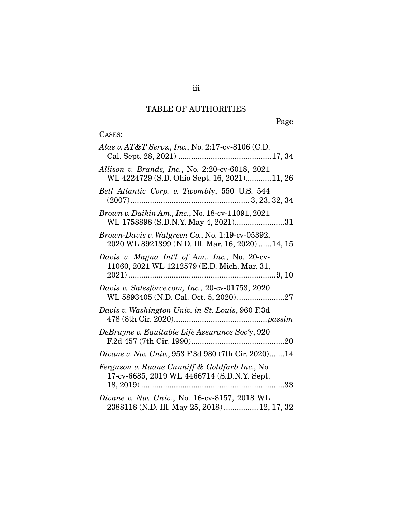# TABLE OF AUTHORITIES

Page

# CASES:

| Alas v. AT&T Servs., Inc., No. 2:17-cv-8106 (C.D.                                                                                                                                                               |
|-----------------------------------------------------------------------------------------------------------------------------------------------------------------------------------------------------------------|
| Allison v. Brands, Inc., No. 2:20-cv-6018, 2021<br>WL 4224729 (S.D. Ohio Sept. 16, 2021)11, 26                                                                                                                  |
| Bell Atlantic Corp. v. Twombly, 550 U.S. 544                                                                                                                                                                    |
| Brown v. Daikin Am., Inc., No. 18-cv-11091, 2021<br>WL 1758898 (S.D.N.Y. May 4, 2021)31                                                                                                                         |
| Brown-Davis v. Walgreen Co., No. 1:19-cv-05392,<br>2020 WL 8921399 (N.D. Ill. Mar. 16, 2020)  14, 15                                                                                                            |
| Davis v. Magna Int'l of Am., Inc., No. 20-cv-<br>11060, 2021 WL 1212579 (E.D. Mich. Mar. 31,                                                                                                                    |
| Davis v. Salesforce.com, Inc., 20-cv-01753, 2020<br>WL 5893405 (N.D. Cal. Oct. 5, 2020)27                                                                                                                       |
| Davis v. Washington Univ. in St. Louis, 960 F.3d<br>$478 \, (8 \mathrm{th} \ C \mathrm{ir} \ldotp \, 2020) \ldots \ldots \ldots \ldots \ldots \ldots \ldots \ldots \ldots \ldots \ldots \ldots \textit{passim}$ |
| DeBruyne v. Equitable Life Assurance Soc'y, 920                                                                                                                                                                 |
| <i>Divane v. Nw. Univ.</i> , 953 F.3d 980 (7th Cir. 2020)14                                                                                                                                                     |
| Ferguson v. Ruane Cunniff & Goldfarb Inc., No.<br>17-cv-6685, 2019 WL 4466714 (S.D.N.Y. Sept.                                                                                                                   |
| Divane v. Nw. Univ., No. 16-cv-8157, 2018 WL<br>2388118 (N.D. Ill. May 25, 2018)  12, 17, 32                                                                                                                    |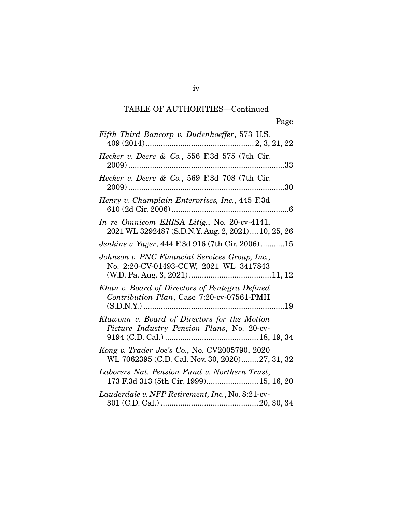| Fifth Third Bancorp v. Dudenhoeffer, 573 U.S.                                                     |
|---------------------------------------------------------------------------------------------------|
| Hecker v. Deere & Co., 556 F.3d 575 (7th Cir.<br>$2009)$                                          |
| Hecker v. Deere & Co., 569 F.3d 708 (7th Cir.                                                     |
| Henry v. Champlain Enterprises, Inc., 445 F.3d                                                    |
| In re Omnicom ERISA Litig., No. 20-cv-4141,<br>2021 WL 3292487 (S.D.N.Y. Aug. 2, 2021) 10, 25, 26 |
| Jenkins v. Yager, 444 F.3d 916 (7th Cir. 2006)15                                                  |
| Johnson v. PNC Financial Services Group, Inc.,<br>No. 2:20-CV-01493-CCW, 2021 WL 3417843          |
| Khan v. Board of Directors of Pentegra Defined<br>Contribution Plan, Case 7:20-cv-07561-PMH       |
| Klawonn v. Board of Directors for the Motion<br>Picture Industry Pension Plans, No. 20-cv-        |
| Kong v. Trader Joe's Co., No. CV2005790, 2020<br>WL 7062395 (C.D. Cal. Nov. 30, 2020) 27, 31, 32  |
| Laborers Nat. Pension Fund v. Northern Trust,<br>173 F.3d 313 (5th Cir. 1999) 15, 16, 20          |
| Lauderdale v. NFP Retirement, Inc., No. 8:21-cv-                                                  |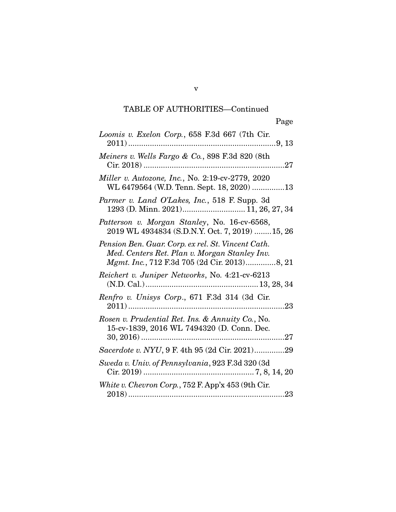| Loomis v. Exelon Corp., 658 F.3d 667 (7th Cir.                                                                                                              |
|-------------------------------------------------------------------------------------------------------------------------------------------------------------|
| Meiners v. Wells Fargo & Co., 898 F.3d 820 (8th                                                                                                             |
| Miller v. Autozone, Inc., No. 2:19-cv-2779, 2020<br>WL 6479564 (W.D. Tenn. Sept. 18, 2020) 13                                                               |
| Parmer v. Land O'Lakes, Inc., 518 F. Supp. 3d<br>1293 (D. Minn. 2021) 11, 26, 27, 34                                                                        |
| Patterson v. Morgan Stanley, No. 16-cv-6568,<br>2019 WL 4934834 (S.D.N.Y. Oct. 7, 2019)  15, 26                                                             |
| Pension Ben. Guar. Corp. ex rel. St. Vincent Cath.<br>Med. Centers Ret. Plan v. Morgan Stanley Inv.<br><i>Mgmt. Inc.</i> , 712 F.3d 705 (2d Cir. 2013)8, 21 |
| Reichert v. Juniper Networks, No. 4:21-cv-6213                                                                                                              |
| Renfro v. Unisys Corp., 671 F.3d 314 (3d Cir.                                                                                                               |
| Rosen v. Prudential Ret. Ins. & Annuity Co., No.<br>15-cv-1839, 2016 WL 7494320 (D. Conn. Dec.                                                              |
| Sacerdote v. NYU, 9 F. 4th 95 (2d Cir. 2021)29                                                                                                              |
| Sweda v. Univ. of Pennsylvania, 923 F.3d 320 (3d                                                                                                            |
| White v. Chevron Corp., 752 F. App'x 453 (9th Cir.                                                                                                          |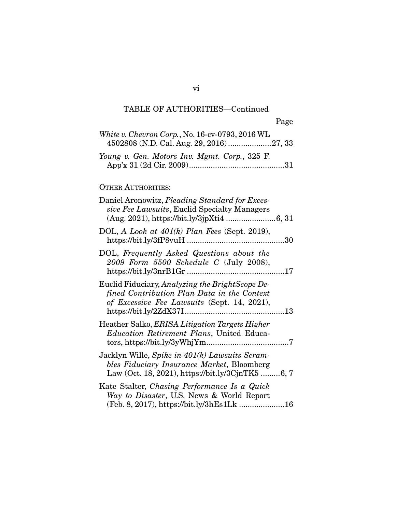| White v. Chevron Corp., No. 16-cv-0793, 2016 WL<br>4502808 (N.D. Cal. Aug. 29, 2016) 27, 33                                                      |
|--------------------------------------------------------------------------------------------------------------------------------------------------|
| Young v. Gen. Motors Inv. Mgmt. Corp., 325 F.                                                                                                    |
| <b>OTHER AUTHORITIES:</b>                                                                                                                        |
| Daniel Aronowitz, Pleading Standard for Exces-<br>sive Fee Lawsuits, Euclid Specialty Managers                                                   |
| DOL, A Look at $401(k)$ Plan Fees (Sept. 2019),                                                                                                  |
| DOL, Frequently Asked Questions about the<br>2009 Form 5500 Schedule C (July 2008),                                                              |
| Euclid Fiduciary, Analyzing the BrightScope De-<br>fined Contribution Plan Data in the Context<br>of Excessive Fee Lawsuits (Sept. 14, 2021),    |
| Heather Salko, ERISA Litigation Targets Higher<br><i>Education Retirement Plans</i> , United Educa-                                              |
| Jacklyn Wille, Spike in 401(k) Lawsuits Scram-<br>bles Fiduciary Insurance Market, Bloomberg<br>Law (Oct. 18, 2021), https://bit.ly/3CjnTK5 6, 7 |
| Kate Stalter, Chasing Performance Is a Quick<br>Way to Disaster, U.S. News & World Report<br>(Feb. 8, 2017), https://bit.ly/3hEs1Lk 16           |

vi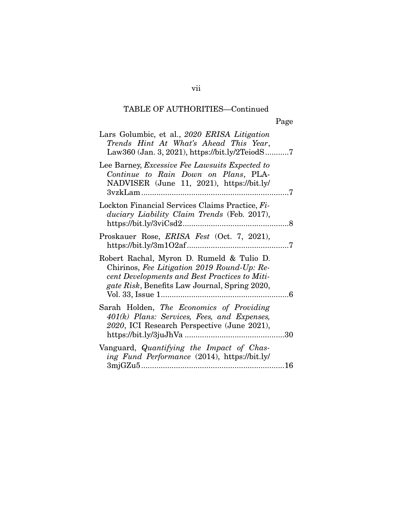| Lars Golumbic, et al., 2020 ERISA Litigation<br>Trends Hint At What's Ahead This Year,                                                                                                             |  |
|----------------------------------------------------------------------------------------------------------------------------------------------------------------------------------------------------|--|
| Lee Barney, <i>Excessive Fee Lawsuits Expected to</i><br>Continue to Rain Down on Plans, PLA-<br>NADVISER (June 11, 2021), https://bit.ly/                                                         |  |
| Lockton Financial Services Claims Practice, Fi-<br>duciary Liability Claim Trends (Feb. 2017),                                                                                                     |  |
| Proskauer Rose, ERISA Fest (Oct. 7, 2021),                                                                                                                                                         |  |
| Robert Rachal, Myron D. Rumeld & Tulio D.<br>Chirinos, Fee Litigation 2019 Round-Up: Re-<br>cent Developments and Best Practices to Miti-<br><i>gate Risk</i> , Benefits Law Journal, Spring 2020, |  |
| Sarah Holden, The Economics of Providing<br>401(k) Plans: Services, Fees, and Expenses,<br>2020, ICI Research Perspective (June 2021),                                                             |  |
| Vanguard, Quantifying the Impact of Chas-<br>ing Fund Performance (2014), https://bit.ly/                                                                                                          |  |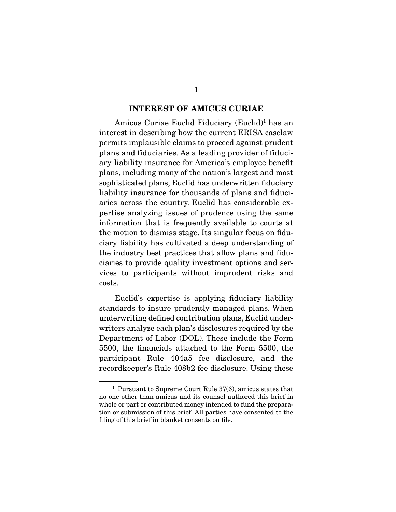#### **INTEREST OF AMICUS CURIAE**

Amicus Curiae Euclid Fiduciary (Euclid)<sup>1</sup> has an interest in describing how the current ERISA caselaw permits implausible claims to proceed against prudent plans and fiduciaries. As a leading provider of fiduciary liability insurance for America's employee benefit plans, including many of the nation's largest and most sophisticated plans, Euclid has underwritten fiduciary liability insurance for thousands of plans and fiduciaries across the country. Euclid has considerable expertise analyzing issues of prudence using the same information that is frequently available to courts at the motion to dismiss stage. Its singular focus on fiduciary liability has cultivated a deep understanding of the industry best practices that allow plans and fiduciaries to provide quality investment options and services to participants without imprudent risks and costs.

 Euclid's expertise is applying fiduciary liability standards to insure prudently managed plans. When underwriting defined contribution plans, Euclid underwriters analyze each plan's disclosures required by the Department of Labor (DOL). These include the Form 5500, the financials attached to the Form 5500, the participant Rule 404a5 fee disclosure, and the recordkeeper's Rule 408b2 fee disclosure. Using these

 $1$  Pursuant to Supreme Court Rule 37(6), amicus states that no one other than amicus and its counsel authored this brief in whole or part or contributed money intended to fund the preparation or submission of this brief. All parties have consented to the filing of this brief in blanket consents on file.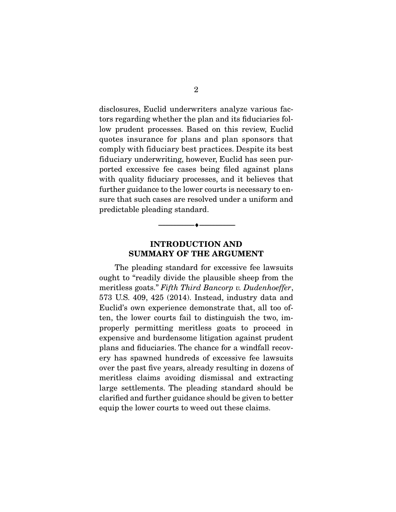disclosures, Euclid underwriters analyze various factors regarding whether the plan and its fiduciaries follow prudent processes. Based on this review, Euclid quotes insurance for plans and plan sponsors that comply with fiduciary best practices. Despite its best fiduciary underwriting, however, Euclid has seen purported excessive fee cases being filed against plans with quality fiduciary processes, and it believes that further guidance to the lower courts is necessary to ensure that such cases are resolved under a uniform and predictable pleading standard.

## **INTRODUCTION AND SUMMARY OF THE ARGUMENT**

--------------------------------- ♦ ---------------------------------

 The pleading standard for excessive fee lawsuits ought to "readily divide the plausible sheep from the meritless goats." Fifth Third Bancorp v. Dudenhoeffer, 573 U.S. 409, 425 (2014). Instead, industry data and Euclid's own experience demonstrate that, all too often, the lower courts fail to distinguish the two, improperly permitting meritless goats to proceed in expensive and burdensome litigation against prudent plans and fiduciaries. The chance for a windfall recovery has spawned hundreds of excessive fee lawsuits over the past five years, already resulting in dozens of meritless claims avoiding dismissal and extracting large settlements. The pleading standard should be clarified and further guidance should be given to better equip the lower courts to weed out these claims.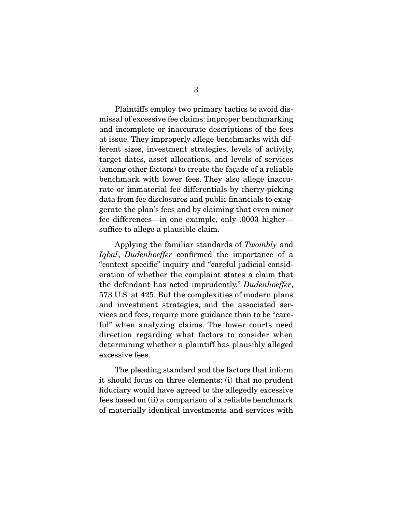Plaintiffs employ two primary tactics to avoid dismissal of excessive fee claims: improper benchmarking and incomplete or inaccurate descriptions of the fees at issue. They improperly allege benchmarks with different sizes, investment strategies, levels of activity, target dates, asset allocations, and levels of services

(among other factors) to create the façade of a reliable benchmark with lower fees. They also allege inaccurate or immaterial fee differentials by cherry-picking data from fee disclosures and public financials to exaggerate the plan's fees and by claiming that even minor fee differences—in one example, only .0003 higher suffice to allege a plausible claim.

 Applying the familiar standards of Twombly and Iqbal, Dudenhoeffer confirmed the importance of a "context specific" inquiry and "careful judicial consideration of whether the complaint states a claim that the defendant has acted imprudently." Dudenhoeffer, 573 U.S. at 425. But the complexities of modern plans and investment strategies, and the associated services and fees, require more guidance than to be "careful" when analyzing claims. The lower courts need direction regarding what factors to consider when determining whether a plaintiff has plausibly alleged excessive fees.

 The pleading standard and the factors that inform it should focus on three elements: (i) that no prudent fiduciary would have agreed to the allegedly excessive fees based on (ii) a comparison of a reliable benchmark of materially identical investments and services with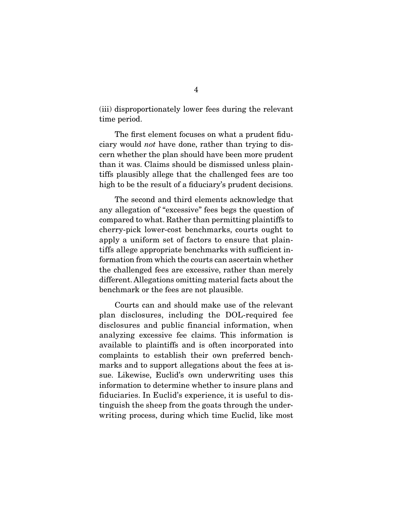(iii) disproportionately lower fees during the relevant time period.

 The first element focuses on what a prudent fiduciary would not have done, rather than trying to discern whether the plan should have been more prudent than it was. Claims should be dismissed unless plaintiffs plausibly allege that the challenged fees are too high to be the result of a fiduciary's prudent decisions.

 The second and third elements acknowledge that any allegation of "excessive" fees begs the question of compared to what. Rather than permitting plaintiffs to cherry-pick lower-cost benchmarks, courts ought to apply a uniform set of factors to ensure that plaintiffs allege appropriate benchmarks with sufficient information from which the courts can ascertain whether the challenged fees are excessive, rather than merely different. Allegations omitting material facts about the benchmark or the fees are not plausible.

 Courts can and should make use of the relevant plan disclosures, including the DOL-required fee disclosures and public financial information, when analyzing excessive fee claims. This information is available to plaintiffs and is often incorporated into complaints to establish their own preferred benchmarks and to support allegations about the fees at issue. Likewise, Euclid's own underwriting uses this information to determine whether to insure plans and fiduciaries. In Euclid's experience, it is useful to distinguish the sheep from the goats through the underwriting process, during which time Euclid, like most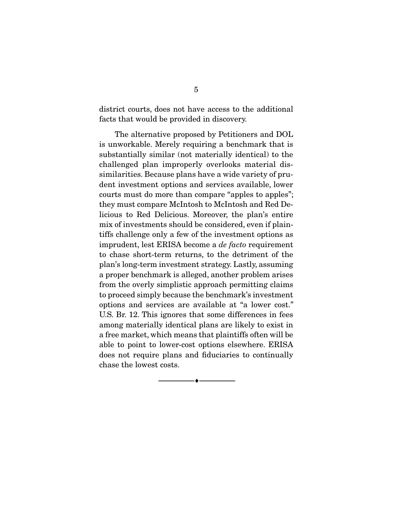district courts, does not have access to the additional facts that would be provided in discovery.

 The alternative proposed by Petitioners and DOL is unworkable. Merely requiring a benchmark that is substantially similar (not materially identical) to the challenged plan improperly overlooks material dissimilarities. Because plans have a wide variety of prudent investment options and services available, lower courts must do more than compare "apples to apples"; they must compare McIntosh to McIntosh and Red Delicious to Red Delicious. Moreover, the plan's entire mix of investments should be considered, even if plaintiffs challenge only a few of the investment options as imprudent, lest ERISA become a de facto requirement to chase short-term returns, to the detriment of the plan's long-term investment strategy. Lastly, assuming a proper benchmark is alleged, another problem arises from the overly simplistic approach permitting claims to proceed simply because the benchmark's investment options and services are available at "a lower cost." U.S. Br. 12. This ignores that some differences in fees among materially identical plans are likely to exist in a free market, which means that plaintiffs often will be able to point to lower-cost options elsewhere. ERISA does not require plans and fiduciaries to continually chase the lowest costs.

 $\overbrace{\hspace{2.5cm}}^{\bullet}$   $\overbrace{\hspace{2.5cm}}^{\bullet}$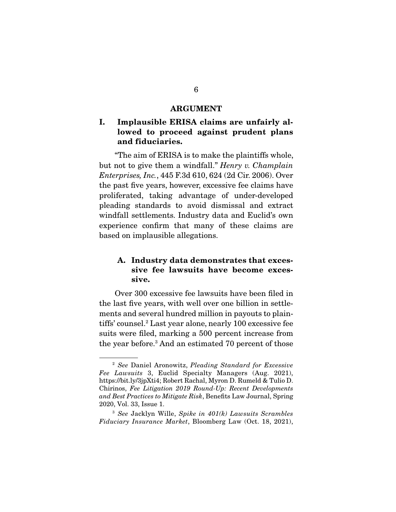#### **ARGUMENT**

## **I. Implausible ERISA claims are unfairly allowed to proceed against prudent plans and fiduciaries.**

 "The aim of ERISA is to make the plaintiffs whole, but not to give them a windfall." Henry v. Champlain Enterprises, Inc., 445 F.3d 610, 624 (2d Cir. 2006). Over the past five years, however, excessive fee claims have proliferated, taking advantage of under-developed pleading standards to avoid dismissal and extract windfall settlements. Industry data and Euclid's own experience confirm that many of these claims are based on implausible allegations.

## **A. Industry data demonstrates that excessive fee lawsuits have become excessive.**

 Over 300 excessive fee lawsuits have been filed in the last five years, with well over one billion in settlements and several hundred million in payouts to plaintiffs' counsel.2 Last year alone, nearly 100 excessive fee suits were filed, marking a 500 percent increase from the year before.3 And an estimated 70 percent of those

<sup>&</sup>lt;sup>2</sup> See Daniel Aronowitz, Pleading Standard for Excessive Fee Lawsuits 3, Euclid Specialty Managers (Aug. 2021), https://bit.ly/3jpXti4; Robert Rachal, Myron D. Rumeld & Tulio D. Chirinos, Fee Litigation 2019 Round-Up: Recent Developments and Best Practices to Mitigate Risk, Benefits Law Journal, Spring 2020, Vol. 33, Issue 1.

 $3$  See Jacklyn Wille, Spike in  $401(k)$  Lawsuits Scrambles Fiduciary Insurance Market, Bloomberg Law (Oct. 18, 2021),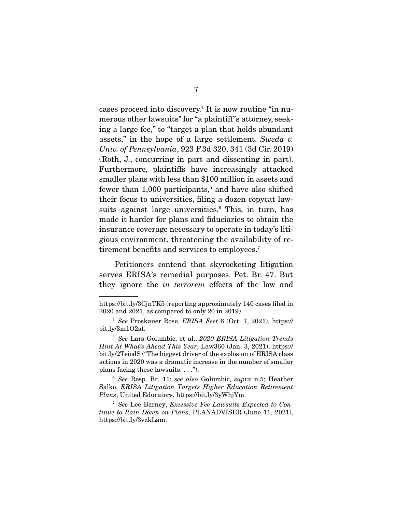cases proceed into discovery.4 It is now routine "in numerous other lawsuits" for "a plaintiff 's attorney, seeking a large fee," to "target a plan that holds abundant assets," in the hope of a large settlement. Sweda v. Univ. of Pennsylvania, 923 F.3d 320, 341 (3d Cir. 2019) (Roth, J., concurring in part and dissenting in part). Furthermore, plaintiffs have increasingly attacked smaller plans with less than \$100 million in assets and fewer than 1,000 participants,<sup>5</sup> and have also shifted their focus to universities, filing a dozen copycat lawsuits against large universities.<sup>6</sup> This, in turn, has made it harder for plans and fiduciaries to obtain the insurance coverage necessary to operate in today's litigious environment, threatening the availability of retirement benefits and services to employees.<sup>7</sup>

 Petitioners contend that skyrocketing litigation serves ERISA's remedial purposes. Pet. Br. 47. But they ignore the in terrorem effects of the low and

https://bit.ly/3CjnTK5 (reporting approximately 140 cases filed in 2020 and 2021, as compared to only 20 in 2019).

<sup>4</sup> See Proskauer Rose, ERISA Fest 6 (Oct. 7, 2021), https:// bit.ly/3m1O2af.

<sup>&</sup>lt;sup>5</sup> See Lars Golumbic, et al., 2020 ERISA Litigation Trends Hint At What's Ahead This Year, Law360 (Jan. 3, 2021), https:// bit.ly/2TeiodS ("The biggest driver of the explosion of ERISA class actions in 2020 was a dramatic increase in the number of smaller plans facing these lawsuits. . . .").

<sup>&</sup>lt;sup>6</sup> See Resp. Br. 11; see also Golumbic, supra n.5; Heather Salko, ERISA Litigation Targets Higher Education Retirement Plans, United Educators, https://bit.ly/3yWhjYm.

<sup>7</sup> See Lee Barney, Excessive Fee Lawsuits Expected to Continue to Rain Down on Plans, PLANADVISER (June 11, 2021), https://bit.ly/3vzkLam.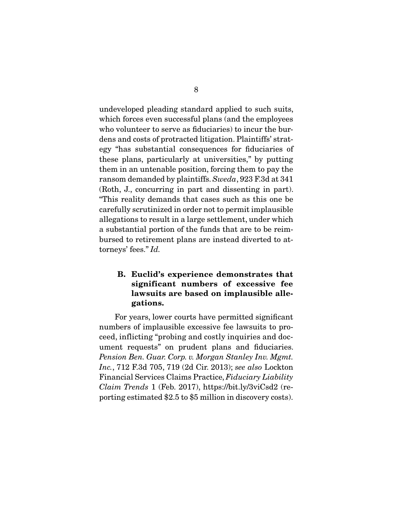undeveloped pleading standard applied to such suits, which forces even successful plans (and the employees who volunteer to serve as fiduciaries) to incur the burdens and costs of protracted litigation. Plaintiffs' strategy "has substantial consequences for fiduciaries of these plans, particularly at universities," by putting them in an untenable position, forcing them to pay the ransom demanded by plaintiffs. Sweda, 923 F.3d at 341 (Roth, J., concurring in part and dissenting in part). "This reality demands that cases such as this one be carefully scrutinized in order not to permit implausible allegations to result in a large settlement, under which a substantial portion of the funds that are to be reimbursed to retirement plans are instead diverted to attorneys' fees." Id.

## **B. Euclid's experience demonstrates that significant numbers of excessive fee lawsuits are based on implausible allegations.**

 For years, lower courts have permitted significant numbers of implausible excessive fee lawsuits to proceed, inflicting "probing and costly inquiries and document requests" on prudent plans and fiduciaries. Pension Ben. Guar. Corp. v. Morgan Stanley Inv. Mgmt. Inc., 712 F.3d 705, 719 (2d Cir. 2013); see also Lockton Financial Services Claims Practice, Fiduciary Liability Claim Trends 1 (Feb. 2017), https://bit.ly/3viCsd2 (reporting estimated \$2.5 to \$5 million in discovery costs).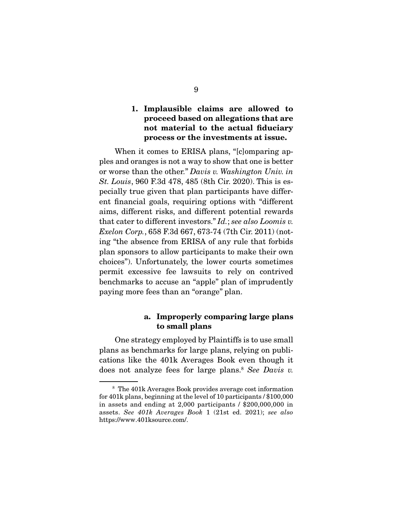### **1. Implausible claims are allowed to proceed based on allegations that are not material to the actual fiduciary process or the investments at issue.**

 When it comes to ERISA plans, "[c]omparing apples and oranges is not a way to show that one is better or worse than the other." Davis v. Washington Univ. in St. Louis, 960 F.3d 478, 485 (8th Cir. 2020). This is especially true given that plan participants have different financial goals, requiring options with "different aims, different risks, and different potential rewards that cater to different investors." Id.; see also Loomis v. Exelon Corp., 658 F.3d 667, 673-74 (7th Cir. 2011) (noting "the absence from ERISA of any rule that forbids plan sponsors to allow participants to make their own choices"). Unfortunately, the lower courts sometimes permit excessive fee lawsuits to rely on contrived benchmarks to accuse an "apple" plan of imprudently paying more fees than an "orange" plan.

#### **a. Improperly comparing large plans to small plans**

 One strategy employed by Plaintiffs is to use small plans as benchmarks for large plans, relying on publications like the 401k Averages Book even though it does not analyze fees for large plans.<sup>8</sup> See Davis v.

<sup>8</sup> The 401k Averages Book provides average cost information for 401k plans, beginning at the level of 10 participants / \$100,000 in assets and ending at 2,000 participants / \$200,000,000 in assets. See 401k Averages Book 1 (21st ed. 2021); see also https://www.401ksource.com/.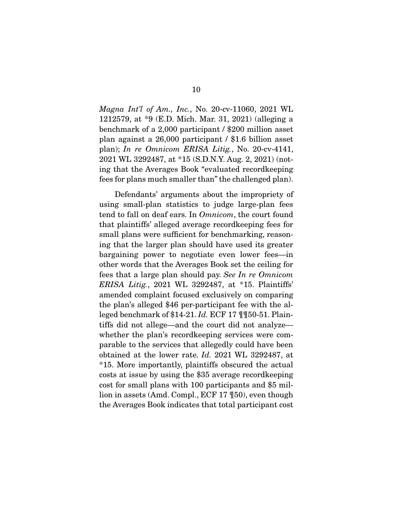Magna Int'l of Am., Inc., No. 20-cv-11060, 2021 WL 1212579, at \*9 (E.D. Mich. Mar. 31, 2021) (alleging a benchmark of a 2,000 participant / \$200 million asset plan against a 26,000 participant / \$1.6 billion asset plan); In re Omnicom ERISA Litig., No. 20-cv-4141, 2021 WL 3292487, at \*15 (S.D.N.Y. Aug. 2, 2021) (noting that the Averages Book "evaluated recordkeeping fees for plans much smaller than" the challenged plan).

 Defendants' arguments about the impropriety of using small-plan statistics to judge large-plan fees tend to fall on deaf ears. In Omnicom, the court found that plaintiffs' alleged average recordkeeping fees for small plans were sufficient for benchmarking, reasoning that the larger plan should have used its greater bargaining power to negotiate even lower fees—in other words that the Averages Book set the ceiling for fees that a large plan should pay. See In re Omnicom ERISA Litig., 2021 WL 3292487, at \*15. Plaintiffs' amended complaint focused exclusively on comparing the plan's alleged \$46 per-participant fee with the alleged benchmark of \$14-21. Id. ECF 17  $\P$   $\P$ 50-51. Plaintiffs did not allege—and the court did not analyze whether the plan's recordkeeping services were comparable to the services that allegedly could have been obtained at the lower rate. Id. 2021 WL 3292487, at \*15. More importantly, plaintiffs obscured the actual costs at issue by using the \$35 average recordkeeping cost for small plans with 100 participants and \$5 million in assets (Amd. Compl., ECF 17 ¶50), even though the Averages Book indicates that total participant cost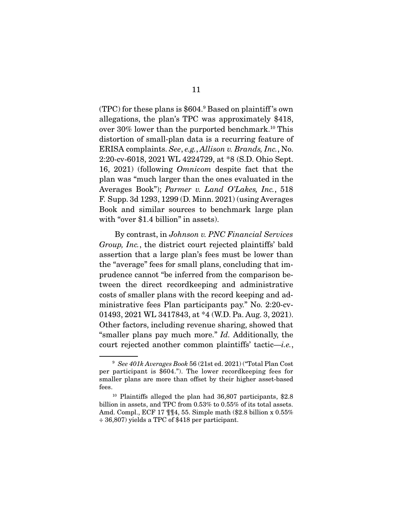(TPC) for these plans is \$604.9 Based on plaintiff 's own allegations, the plan's TPC was approximately \$418, over  $30\%$  lower than the purported benchmark.<sup>10</sup> This distortion of small-plan data is a recurring feature of ERISA complaints. See, e.g., Allison v. Brands, Inc., No. 2:20-cv-6018, 2021 WL 4224729, at \*8 (S.D. Ohio Sept. 16, 2021) (following Omnicom despite fact that the plan was "much larger than the ones evaluated in the Averages Book"); Parmer v. Land O'Lakes, Inc., 518 F. Supp. 3d 1293, 1299 (D. Minn. 2021) (using Averages Book and similar sources to benchmark large plan with "over \$1.4 billion" in assets).

 By contrast, in Johnson v. PNC Financial Services Group, Inc., the district court rejected plaintiffs' bald assertion that a large plan's fees must be lower than the "average" fees for small plans, concluding that imprudence cannot "be inferred from the comparison between the direct recordkeeping and administrative costs of smaller plans with the record keeping and administrative fees Plan participants pay." No. 2:20-cv-01493, 2021 WL 3417843, at \*4 (W.D. Pa. Aug. 3, 2021). Other factors, including revenue sharing, showed that "smaller plans pay much more." Id. Additionally, the court rejected another common plaintiffs' tactic—i.e.,

 $9$  See 401k Averages Book 56 (21st ed. 2021) ("Total Plan Cost" per participant is \$604."). The lower recordkeeping fees for smaller plans are more than offset by their higher asset-based fees.

<sup>10</sup> Plaintiffs alleged the plan had 36,807 participants, \$2.8 billion in assets, and TPC from 0.53% to 0.55% of its total assets. Amd. Compl., ECF 17 ¶¶4, 55. Simple math (\$2.8 billion x 0.55% ÷ 36,807) yields a TPC of \$418 per participant.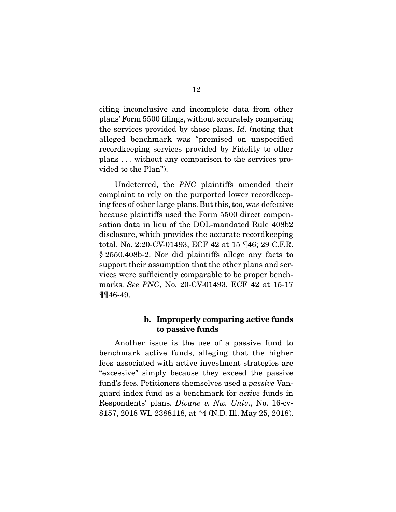citing inconclusive and incomplete data from other plans' Form 5500 filings, without accurately comparing the services provided by those plans. Id. (noting that alleged benchmark was "premised on unspecified recordkeeping services provided by Fidelity to other plans . . . without any comparison to the services provided to the Plan").

 Undeterred, the PNC plaintiffs amended their complaint to rely on the purported lower recordkeeping fees of other large plans. But this, too, was defective because plaintiffs used the Form 5500 direct compensation data in lieu of the DOL-mandated Rule 408b2 disclosure, which provides the accurate recordkeeping total. No. 2:20-CV-01493, ECF 42 at 15 ¶46; 29 C.F.R. § 2550.408b-2. Nor did plaintiffs allege any facts to support their assumption that the other plans and services were sufficiently comparable to be proper benchmarks. See PNC, No. 20-CV-01493, ECF 42 at 15-17 ¶¶46-49.

#### **b. Improperly comparing active funds to passive funds**

 Another issue is the use of a passive fund to benchmark active funds, alleging that the higher fees associated with active investment strategies are "excessive" simply because they exceed the passive fund's fees. Petitioners themselves used a passive Vanguard index fund as a benchmark for active funds in Respondents' plans. Divane v. Nw. Univ., No. 16-cv-8157, 2018 WL 2388118, at \*4 (N.D. Ill. May 25, 2018).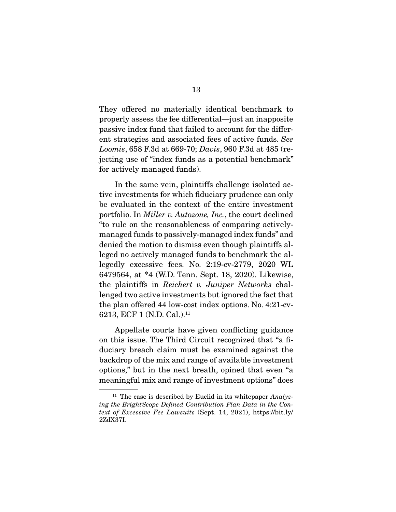They offered no materially identical benchmark to properly assess the fee differential—just an inapposite passive index fund that failed to account for the different strategies and associated fees of active funds. See Loomis, 658 F.3d at 669-70; Davis, 960 F.3d at 485 (rejecting use of "index funds as a potential benchmark" for actively managed funds).

 In the same vein, plaintiffs challenge isolated active investments for which fiduciary prudence can only be evaluated in the context of the entire investment portfolio. In Miller v. Autozone, Inc., the court declined "to rule on the reasonableness of comparing activelymanaged funds to passively-managed index funds" and denied the motion to dismiss even though plaintiffs alleged no actively managed funds to benchmark the allegedly excessive fees. No. 2:19-cv-2779, 2020 WL 6479564, at \*4 (W.D. Tenn. Sept. 18, 2020). Likewise, the plaintiffs in Reichert v. Juniper Networks challenged two active investments but ignored the fact that the plan offered 44 low-cost index options. No. 4:21-cv-6213, ECF 1 (N.D. Cal.).<sup>11</sup>

 Appellate courts have given conflicting guidance on this issue. The Third Circuit recognized that "a fiduciary breach claim must be examined against the backdrop of the mix and range of available investment options," but in the next breath, opined that even "a meaningful mix and range of investment options" does

<sup>&</sup>lt;sup>11</sup> The case is described by Euclid in its whitepaper  $Analyz$ ing the BrightScope Defined Contribution Plan Data in the Context of Excessive Fee Lawsuits (Sept. 14, 2021), https://bit.ly/ 2ZdX37I.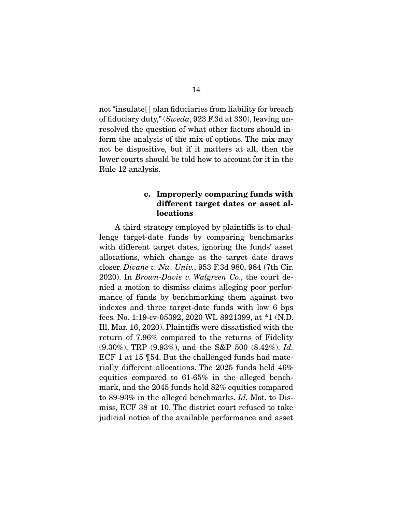not "insulate[ ] plan fiduciaries from liability for breach of fiduciary duty," (Sweda, 923 F.3d at 330), leaving unresolved the question of what other factors should inform the analysis of the mix of options. The mix may not be dispositive, but if it matters at all, then the lower courts should be told how to account for it in the Rule 12 analysis.

#### **c. Improperly comparing funds with different target dates or asset allocations**

 A third strategy employed by plaintiffs is to challenge target-date funds by comparing benchmarks with different target dates, ignoring the funds' asset allocations, which change as the target date draws closer. Divane v. Nw. Univ., 953 F.3d 980, 984 (7th Cir. 2020). In Brown-Davis v. Walgreen Co., the court denied a motion to dismiss claims alleging poor performance of funds by benchmarking them against two indexes and three target-date funds with low 6 bps fees. No. 1:19-cv-05392, 2020 WL 8921399, at \*1 (N.D. Ill. Mar. 16, 2020). Plaintiffs were dissatisfied with the return of 7.96% compared to the returns of Fidelity (9.30%), TRP (9.93%), and the S&P 500 (8.42%). Id. ECF 1 at 15 ¶54. But the challenged funds had materially different allocations. The 2025 funds held 46% equities compared to 61-65% in the alleged benchmark, and the 2045 funds held 82% equities compared to 89-93% in the alleged benchmarks. Id. Mot. to Dismiss, ECF 38 at 10. The district court refused to take judicial notice of the available performance and asset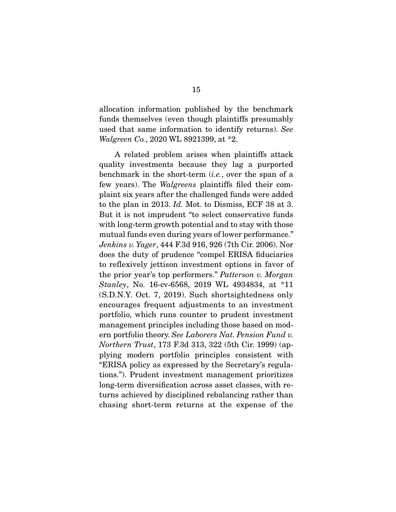allocation information published by the benchmark funds themselves (even though plaintiffs presumably used that same information to identify returns). See Walgreen Co., 2020 WL 8921399, at \*2.

 A related problem arises when plaintiffs attack quality investments because they lag a purported benchmark in the short-term  $(i.e., over the span of a)$ few years). The Walgreens plaintiffs filed their complaint six years after the challenged funds were added to the plan in 2013. Id. Mot. to Dismiss, ECF 38 at 3. But it is not imprudent "to select conservative funds with long-term growth potential and to stay with those mutual funds even during years of lower performance." Jenkins v. Yager, 444 F.3d 916, 926 (7th Cir. 2006). Nor does the duty of prudence "compel ERISA fiduciaries to reflexively jettison investment options in favor of the prior year's top performers." Patterson v. Morgan Stanley, No. 16-cv-6568, 2019 WL 4934834, at \*11 (S.D.N.Y. Oct. 7, 2019). Such shortsightedness only encourages frequent adjustments to an investment portfolio, which runs counter to prudent investment management principles including those based on modern portfolio theory. See Laborers Nat. Pension Fund v. Northern Trust, 173 F.3d 313, 322 (5th Cir. 1999) (applying modern portfolio principles consistent with "ERISA policy as expressed by the Secretary's regulations."). Prudent investment management prioritizes long-term diversification across asset classes, with returns achieved by disciplined rebalancing rather than chasing short-term returns at the expense of the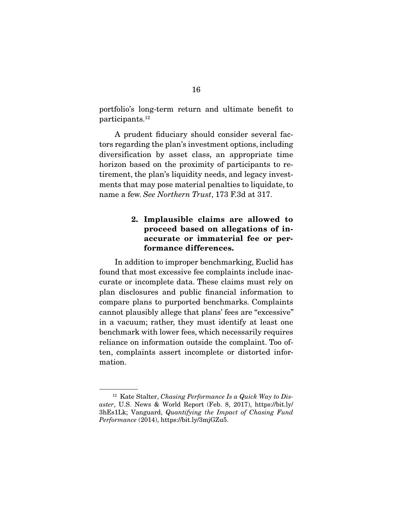portfolio's long-term return and ultimate benefit to participants.12

 A prudent fiduciary should consider several factors regarding the plan's investment options, including diversification by asset class, an appropriate time horizon based on the proximity of participants to retirement, the plan's liquidity needs, and legacy investments that may pose material penalties to liquidate, to name a few. See Northern Trust, 173 F.3d at 317.

## **2. Implausible claims are allowed to proceed based on allegations of inaccurate or immaterial fee or performance differences.**

 In addition to improper benchmarking, Euclid has found that most excessive fee complaints include inaccurate or incomplete data. These claims must rely on plan disclosures and public financial information to compare plans to purported benchmarks. Complaints cannot plausibly allege that plans' fees are "excessive" in a vacuum; rather, they must identify at least one benchmark with lower fees, which necessarily requires reliance on information outside the complaint. Too often, complaints assert incomplete or distorted information.

<sup>&</sup>lt;sup>12</sup> Kate Stalter, *Chasing Performance Is a Quick Way to Dis*aster, U.S. News & World Report (Feb. 8, 2017), https://bit.ly/ 3hEs1Lk; Vanguard, Quantifying the Impact of Chasing Fund Performance (2014), https://bit.ly/3mjGZu5.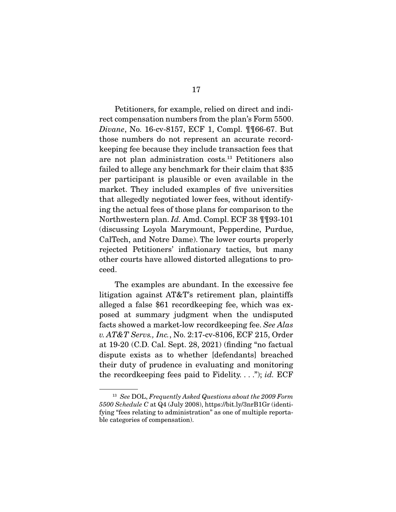Petitioners, for example, relied on direct and indirect compensation numbers from the plan's Form 5500. Divane, No. 16-cv-8157, ECF 1, Compl. ¶¶66-67. But those numbers do not represent an accurate recordkeeping fee because they include transaction fees that are not plan administration costs.13 Petitioners also failed to allege any benchmark for their claim that \$35 per participant is plausible or even available in the market. They included examples of five universities that allegedly negotiated lower fees, without identifying the actual fees of those plans for comparison to the Northwestern plan. Id. Amd. Compl. ECF 38 ¶¶93-101 (discussing Loyola Marymount, Pepperdine, Purdue, CalTech, and Notre Dame). The lower courts properly rejected Petitioners' inflationary tactics, but many other courts have allowed distorted allegations to proceed.

 The examples are abundant. In the excessive fee litigation against AT&T's retirement plan, plaintiffs alleged a false \$61 recordkeeping fee, which was exposed at summary judgment when the undisputed facts showed a market-low recordkeeping fee. See Alas v. AT&T Servs., Inc., No. 2:17-cv-8106, ECF 215, Order at 19-20 (C.D. Cal. Sept. 28, 2021) (finding "no factual dispute exists as to whether [defendants] breached their duty of prudence in evaluating and monitoring the record keeping fees paid to Fidelity...."); id. ECF

 $13$  See DOL, Frequently Asked Questions about the 2009 Form 5500 Schedule C at Q4 (July 2008), https://bit.ly/3nrB1Gr (identifying "fees relating to administration" as one of multiple reportable categories of compensation).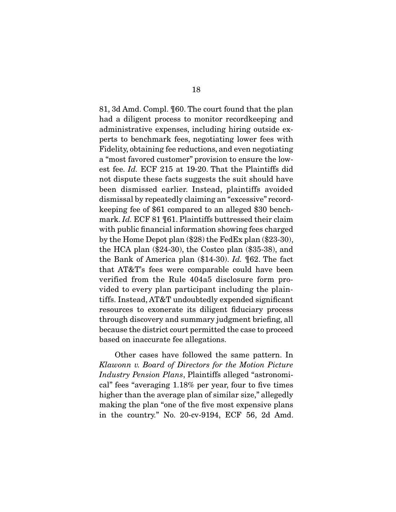81, 3d Amd. Compl. ¶60. The court found that the plan had a diligent process to monitor recordkeeping and administrative expenses, including hiring outside experts to benchmark fees, negotiating lower fees with Fidelity, obtaining fee reductions, and even negotiating a "most favored customer" provision to ensure the lowest fee. Id. ECF 215 at 19-20. That the Plaintiffs did not dispute these facts suggests the suit should have been dismissed earlier. Instead, plaintiffs avoided dismissal by repeatedly claiming an "excessive" recordkeeping fee of \$61 compared to an alleged \$30 benchmark. Id. ECF 81 ¶61. Plaintiffs buttressed their claim with public financial information showing fees charged by the Home Depot plan (\$28) the FedEx plan (\$23-30), the HCA plan (\$24-30), the Costco plan (\$35-38), and the Bank of America plan (\$14-30). Id. ¶62. The fact that AT&T's fees were comparable could have been verified from the Rule 404a5 disclosure form provided to every plan participant including the plaintiffs. Instead, AT&T undoubtedly expended significant resources to exonerate its diligent fiduciary process through discovery and summary judgment briefing, all because the district court permitted the case to proceed based on inaccurate fee allegations.

 Other cases have followed the same pattern. In Klawonn v. Board of Directors for the Motion Picture Industry Pension Plans, Plaintiffs alleged "astronomical" fees "averaging 1.18% per year, four to five times higher than the average plan of similar size," allegedly making the plan "one of the five most expensive plans in the country." No. 20-cv-9194, ECF 56, 2d Amd.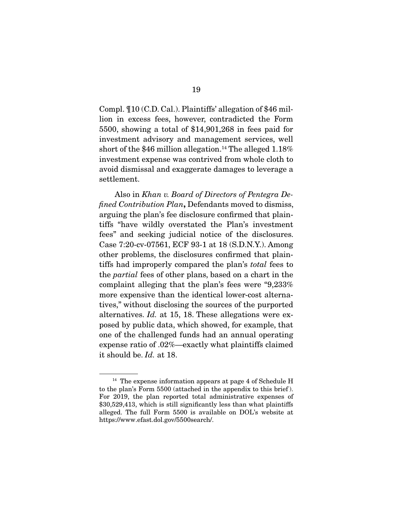Compl. ¶10 (C.D. Cal.). Plaintiffs' allegation of \$46 million in excess fees, however, contradicted the Form 5500, showing a total of \$14,901,268 in fees paid for investment advisory and management services, well short of the \$46 million allegation.<sup>14</sup> The alleged  $1.18\%$ investment expense was contrived from whole cloth to avoid dismissal and exaggerate damages to leverage a settlement.

 Also in Khan v. Board of Directors of Pentegra Defined Contribution Plan**,** Defendants moved to dismiss, arguing the plan's fee disclosure confirmed that plaintiffs "have wildly overstated the Plan's investment fees" and seeking judicial notice of the disclosures. Case 7:20-cv-07561, ECF 93-1 at 18 (S.D.N.Y.). Among other problems, the disclosures confirmed that plaintiffs had improperly compared the plan's total fees to the partial fees of other plans, based on a chart in the complaint alleging that the plan's fees were "9,233% more expensive than the identical lower-cost alternatives," without disclosing the sources of the purported alternatives. Id. at 15, 18. These allegations were exposed by public data, which showed, for example, that one of the challenged funds had an annual operating expense ratio of .02%—exactly what plaintiffs claimed it should be. Id. at 18.

<sup>&</sup>lt;sup>14</sup> The expense information appears at page 4 of Schedule H to the plan's Form 5500 (attached in the appendix to this brief ). For 2019, the plan reported total administrative expenses of \$30,529,413, which is still significantly less than what plaintiffs alleged. The full Form 5500 is available on DOL's website at https://www.efast.dol.gov/5500search/.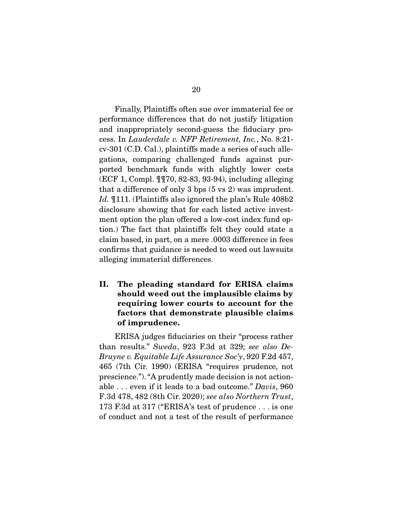Finally, Plaintiffs often sue over immaterial fee or performance differences that do not justify litigation and inappropriately second-guess the fiduciary process. In Lauderdale v. NFP Retirement, Inc., No. 8:21 cv-301 (C.D. Cal.), plaintiffs made a series of such allegations, comparing challenged funds against purported benchmark funds with slightly lower costs (ECF 1, Compl. ¶¶70, 82-83, 93-94), including alleging that a difference of only 3 bps (5 vs 2) was imprudent. Id. ¶111. (Plaintiffs also ignored the plan's Rule 408b2 disclosure showing that for each listed active investment option the plan offered a low-cost index fund option.) The fact that plaintiffs felt they could state a claim based, in part, on a mere .0003 difference in fees confirms that guidance is needed to weed out lawsuits alleging immaterial differences.

**II. The pleading standard for ERISA claims should weed out the implausible claims by requiring lower courts to account for the factors that demonstrate plausible claims of imprudence.** 

 ERISA judges fiduciaries on their "process rather than results." Sweda, 923 F.3d at 329; see also De-Bruyne v. Equitable Life Assurance Soc'y, 920 F.2d 457, 465 (7th Cir. 1990) (ERISA "requires prudence, not prescience."). "A prudently made decision is not actionable . . . even if it leads to a bad outcome." Davis, 960 F.3d 478, 482 (8th Cir. 2020); see also Northern Trust, 173 F.3d at 317 ("ERISA's test of prudence . . . is one of conduct and not a test of the result of performance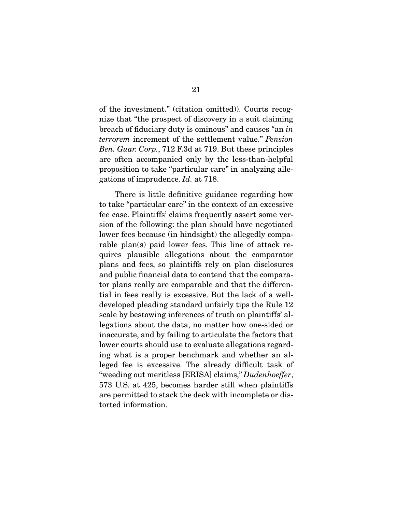of the investment." (citation omitted)). Courts recognize that "the prospect of discovery in a suit claiming breach of fiduciary duty is ominous" and causes "an in terrorem increment of the settlement value." Pension Ben. Guar. Corp., 712 F.3d at 719. But these principles are often accompanied only by the less-than-helpful proposition to take "particular care" in analyzing allegations of imprudence. Id. at 718.

 There is little definitive guidance regarding how to take "particular care" in the context of an excessive fee case. Plaintiffs' claims frequently assert some version of the following: the plan should have negotiated lower fees because (in hindsight) the allegedly comparable plan(s) paid lower fees. This line of attack requires plausible allegations about the comparator plans and fees, so plaintiffs rely on plan disclosures and public financial data to contend that the comparator plans really are comparable and that the differential in fees really is excessive. But the lack of a welldeveloped pleading standard unfairly tips the Rule 12 scale by bestowing inferences of truth on plaintiffs' allegations about the data, no matter how one-sided or inaccurate, and by failing to articulate the factors that lower courts should use to evaluate allegations regarding what is a proper benchmark and whether an alleged fee is excessive. The already difficult task of "weeding out meritless [ERISA] claims," Dudenhoeffer, 573 U.S. at 425, becomes harder still when plaintiffs are permitted to stack the deck with incomplete or distorted information.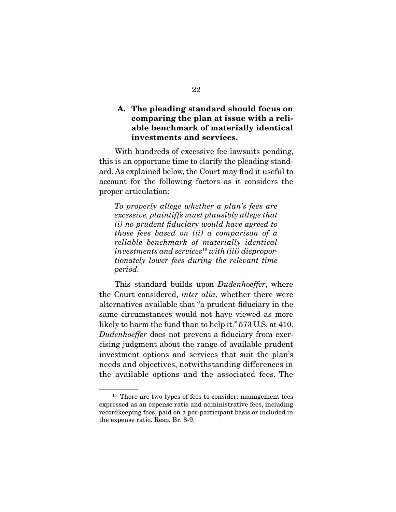## **A. The pleading standard should focus on comparing the plan at issue with a reliable benchmark of materially identical investments and services.**

 With hundreds of excessive fee lawsuits pending, this is an opportune time to clarify the pleading standard. As explained below, the Court may find it useful to account for the following factors as it considers the proper articulation:

To properly allege whether a plan's fees are excessive, plaintiffs must plausibly allege that (i) no prudent fiduciary would have agreed to those fees based on (ii) a comparison of a reliable benchmark of materially identical investments and services<sup>15</sup> with (iii) disproportionately lower fees during the relevant time period.

This standard builds upon *Dudenhoeffer*, where the Court considered, inter alia, whether there were alternatives available that "a prudent fiduciary in the same circumstances would not have viewed as more likely to harm the fund than to help it." 573 U.S. at 410. Dudenhoeffer does not prevent a fiduciary from exercising judgment about the range of available prudent investment options and services that suit the plan's needs and objectives, notwithstanding differences in the available options and the associated fees. The

<sup>&</sup>lt;sup>15</sup> There are two types of fees to consider: management fees expressed as an expense ratio and administrative fees, including recordkeeping fees, paid on a per-participant basis or included in the expense ratio. Resp. Br. 8-9.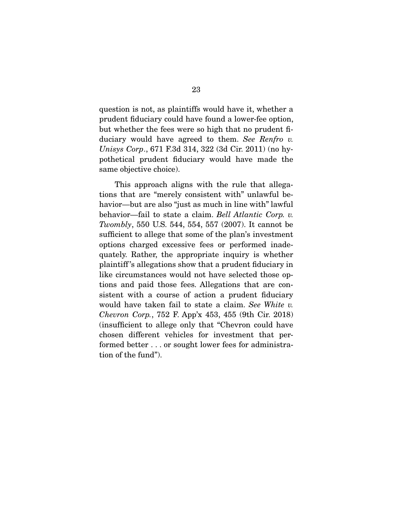question is not, as plaintiffs would have it, whether a prudent fiduciary could have found a lower-fee option, but whether the fees were so high that no prudent fiduciary would have agreed to them. See Renfro v. Unisys Corp., 671 F.3d 314, 322 (3d Cir. 2011) (no hypothetical prudent fiduciary would have made the same objective choice).

 This approach aligns with the rule that allegations that are "merely consistent with" unlawful behavior—but are also "just as much in line with" lawful behavior—fail to state a claim. Bell Atlantic Corp. v. Twombly, 550 U.S. 544, 554, 557 (2007). It cannot be sufficient to allege that some of the plan's investment options charged excessive fees or performed inadequately. Rather, the appropriate inquiry is whether plaintiff 's allegations show that a prudent fiduciary in like circumstances would not have selected those options and paid those fees. Allegations that are consistent with a course of action a prudent fiduciary would have taken fail to state a claim. See White v. Chevron Corp., 752 F. App'x 453, 455 (9th Cir. 2018) (insufficient to allege only that "Chevron could have chosen different vehicles for investment that performed better . . . or sought lower fees for administration of the fund").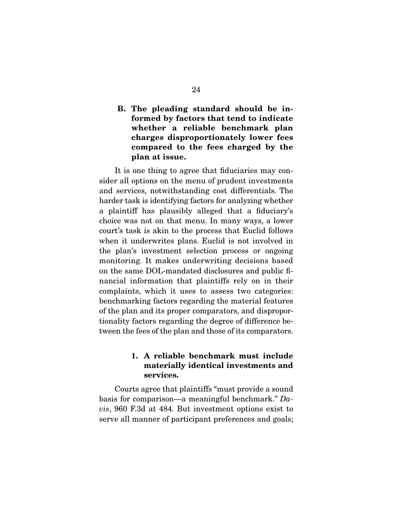## **B. The pleading standard should be informed by factors that tend to indicate whether a reliable benchmark plan charges disproportionately lower fees compared to the fees charged by the plan at issue.**

 It is one thing to agree that fiduciaries may consider all options on the menu of prudent investments and services, notwithstanding cost differentials. The harder task is identifying factors for analyzing whether a plaintiff has plausibly alleged that a fiduciary's choice was not on that menu. In many ways, a lower court's task is akin to the process that Euclid follows when it underwrites plans. Euclid is not involved in the plan's investment selection process or ongoing monitoring. It makes underwriting decisions based on the same DOL-mandated disclosures and public financial information that plaintiffs rely on in their complaints, which it uses to assess two categories: benchmarking factors regarding the material features of the plan and its proper comparators, and disproportionality factors regarding the degree of difference between the fees of the plan and those of its comparators.

## **1. A reliable benchmark must include materially identical investments and services.**

 Courts agree that plaintiffs "must provide a sound basis for comparison—a meaningful benchmark."  $Da$ vis, 960 F.3d at 484. But investment options exist to serve all manner of participant preferences and goals;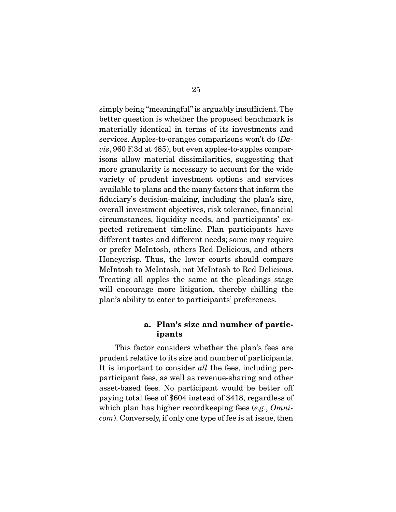simply being "meaningful" is arguably insufficient. The better question is whether the proposed benchmark is materially identical in terms of its investments and services. Apples-to-oranges comparisons won't do  $(Da$ vis, 960 F.3d at 485), but even apples-to-apples comparisons allow material dissimilarities, suggesting that more granularity is necessary to account for the wide variety of prudent investment options and services available to plans and the many factors that inform the fiduciary's decision-making, including the plan's size, overall investment objectives, risk tolerance, financial circumstances, liquidity needs, and participants' expected retirement timeline. Plan participants have different tastes and different needs; some may require or prefer McIntosh, others Red Delicious, and others Honeycrisp. Thus, the lower courts should compare McIntosh to McIntosh, not McIntosh to Red Delicious. Treating all apples the same at the pleadings stage will encourage more litigation, thereby chilling the plan's ability to cater to participants' preferences.

#### **a. Plan's size and number of participants**

 This factor considers whether the plan's fees are prudent relative to its size and number of participants. It is important to consider all the fees, including perparticipant fees, as well as revenue-sharing and other asset-based fees. No participant would be better off paying total fees of \$604 instead of \$418, regardless of which plan has higher recordkeeping fees (e.g., Omnicom). Conversely, if only one type of fee is at issue, then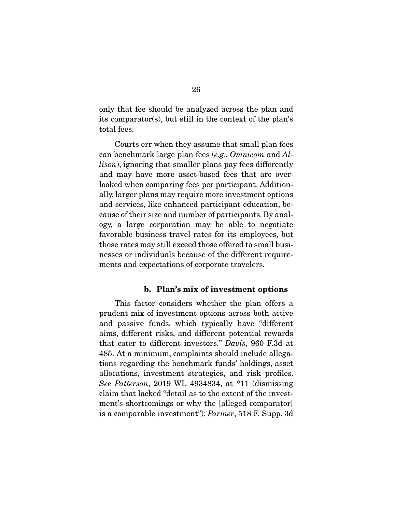only that fee should be analyzed across the plan and its comparator(s), but still in the context of the plan's total fees.

 Courts err when they assume that small plan fees can benchmark large plan fees (e.g., Omnicom and Allison), ignoring that smaller plans pay fees differently and may have more asset-based fees that are overlooked when comparing fees per participant. Additionally, larger plans may require more investment options and services, like enhanced participant education, because of their size and number of participants. By analogy, a large corporation may be able to negotiate favorable business travel rates for its employees, but those rates may still exceed those offered to small businesses or individuals because of the different requirements and expectations of corporate travelers.

#### **b. Plan's mix of investment options**

 This factor considers whether the plan offers a prudent mix of investment options across both active and passive funds, which typically have "different aims, different risks, and different potential rewards that cater to different investors." Davis, 960 F.3d at 485. At a minimum, complaints should include allegations regarding the benchmark funds' holdings, asset allocations, investment strategies, and risk profiles. See Patterson, 2019 WL 4934834, at \*11 (dismissing claim that lacked "detail as to the extent of the investment's shortcomings or why the [alleged comparator] is a comparable investment"); Parmer, 518 F. Supp. 3d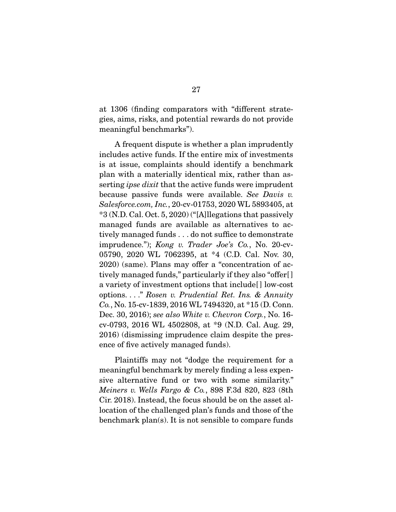at 1306 (finding comparators with "different strategies, aims, risks, and potential rewards do not provide meaningful benchmarks").

 A frequent dispute is whether a plan imprudently includes active funds. If the entire mix of investments is at issue, complaints should identify a benchmark plan with a materially identical mix, rather than asserting *ipse dixit* that the active funds were imprudent because passive funds were available. See Davis v. Salesforce.com, Inc., 20-cv-01753, 2020 WL 5893405, at \*3 (N.D. Cal. Oct. 5, 2020) ("[A]llegations that passively managed funds are available as alternatives to actively managed funds . . . do not suffice to demonstrate imprudence."); Kong v. Trader Joe's Co., No. 20-cv-05790, 2020 WL 7062395, at \*4 (C.D. Cal. Nov. 30, 2020) (same). Plans may offer a "concentration of actively managed funds," particularly if they also "offer[ ] a variety of investment options that include[ ] low-cost options. . . ." Rosen v. Prudential Ret. Ins. & Annuity Co., No. 15-cv-1839, 2016 WL 7494320, at \*15 (D. Conn. Dec. 30, 2016); see also White v. Chevron Corp., No. 16cv-0793, 2016 WL 4502808, at \*9 (N.D. Cal. Aug. 29, 2016) (dismissing imprudence claim despite the presence of five actively managed funds).

 Plaintiffs may not "dodge the requirement for a meaningful benchmark by merely finding a less expensive alternative fund or two with some similarity." Meiners v. Wells Fargo & Co., 898 F.3d 820, 823 (8th Cir. 2018). Instead, the focus should be on the asset allocation of the challenged plan's funds and those of the benchmark plan(s). It is not sensible to compare funds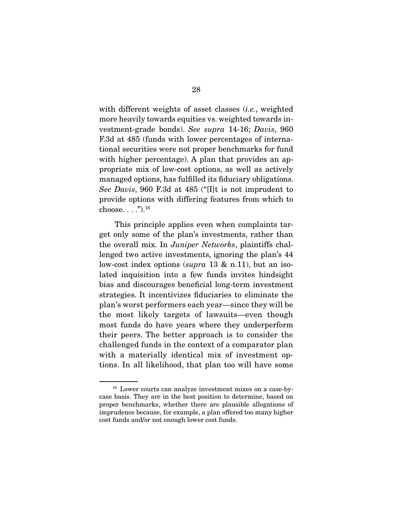with different weights of asset classes *(i.e.*, weighted more heavily towards equities vs. weighted towards investment-grade bonds). See supra 14-16; Davis, 960 F.3d at 485 (funds with lower percentages of international securities were not proper benchmarks for fund with higher percentage). A plan that provides an appropriate mix of low-cost options, as well as actively managed options, has fulfilled its fiduciary obligations. See Davis, 960 F.3d at 485 ("[I]t is not imprudent to provide options with differing features from which to choose.  $\ldots$ ." $)$ .<sup>16</sup>

 This principle applies even when complaints target only some of the plan's investments, rather than the overall mix. In Juniper Networks, plaintiffs challenged two active investments, ignoring the plan's 44 low-cost index options (supra 13  $\&$  n.11), but an isolated inquisition into a few funds invites hindsight bias and discourages beneficial long-term investment strategies. It incentivizes fiduciaries to eliminate the plan's worst performers each year—since they will be the most likely targets of lawsuits—even though most funds do have years where they underperform their peers. The better approach is to consider the challenged funds in the context of a comparator plan with a materially identical mix of investment options. In all likelihood, that plan too will have some

<sup>16</sup> Lower courts can analyze investment mixes on a case-bycase basis. They are in the best position to determine, based on proper benchmarks, whether there are plausible allegations of imprudence because, for example, a plan offered too many higher cost funds and/or not enough lower cost funds.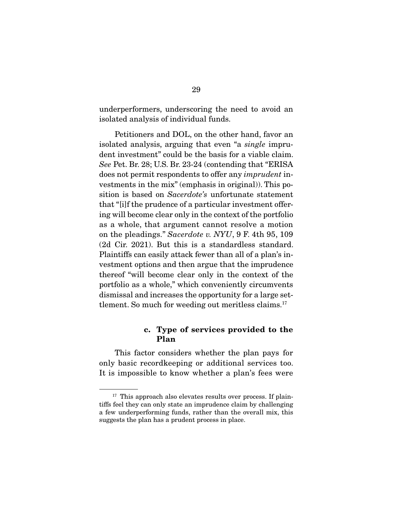underperformers, underscoring the need to avoid an isolated analysis of individual funds.

 Petitioners and DOL, on the other hand, favor an isolated analysis, arguing that even "a single imprudent investment" could be the basis for a viable claim. See Pet. Br. 28; U.S. Br. 23-24 (contending that "ERISA does not permit respondents to offer any imprudent investments in the mix" (emphasis in original)). This position is based on *Sacerdote's* unfortunate statement that "[i]f the prudence of a particular investment offering will become clear only in the context of the portfolio as a whole, that argument cannot resolve a motion on the pleadings." Sacerdote v. NYU, 9 F. 4th 95, 109 (2d Cir. 2021). But this is a standardless standard. Plaintiffs can easily attack fewer than all of a plan's investment options and then argue that the imprudence thereof "will become clear only in the context of the portfolio as a whole," which conveniently circumvents dismissal and increases the opportunity for a large settlement. So much for weeding out meritless claims.<sup>17</sup>

#### **c. Type of services provided to the Plan**

 This factor considers whether the plan pays for only basic recordkeeping or additional services too. It is impossible to know whether a plan's fees were

 $17$  This approach also elevates results over process. If plaintiffs feel they can only state an imprudence claim by challenging a few underperforming funds, rather than the overall mix, this suggests the plan has a prudent process in place.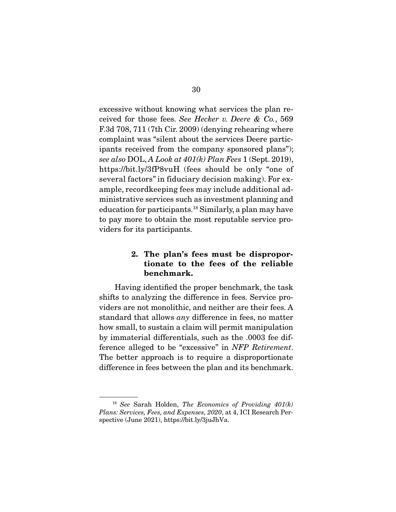excessive without knowing what services the plan received for those fees. See Hecker v. Deere & Co., 569 F.3d 708, 711 (7th Cir. 2009) (denying rehearing where complaint was "silent about the services Deere participants received from the company sponsored plans"); see also DOL, A Look at  $401(k)$  Plan Fees 1 (Sept. 2019), https://bit.ly/3fP8vuH (fees should be only "one of several factors" in fiduciary decision making). For example, recordkeeping fees may include additional administrative services such as investment planning and education for participants.18 Similarly, a plan may have to pay more to obtain the most reputable service providers for its participants.

#### **2. The plan's fees must be disproportionate to the fees of the reliable benchmark.**

 Having identified the proper benchmark, the task shifts to analyzing the difference in fees. Service providers are not monolithic, and neither are their fees. A standard that allows any difference in fees, no matter how small, to sustain a claim will permit manipulation by immaterial differentials, such as the .0003 fee difference alleged to be "excessive" in NFP Retirement. The better approach is to require a disproportionate difference in fees between the plan and its benchmark.

<sup>&</sup>lt;sup>18</sup> See Sarah Holden, *The Economics of Providing 401(k)* Plans: Services, Fees, and Expenses, 2020, at 4, ICI Research Perspective (June 2021), https://bit.ly/3juJhVa.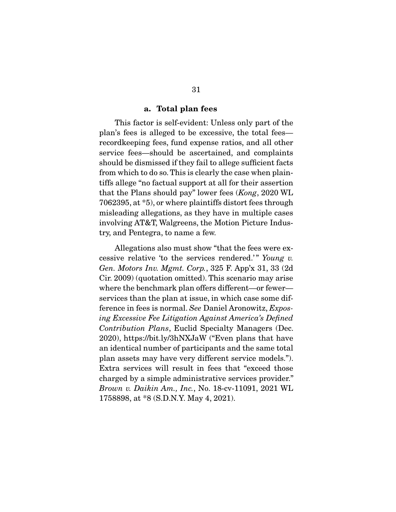#### **a. Total plan fees**

 This factor is self-evident: Unless only part of the plan's fees is alleged to be excessive, the total fees recordkeeping fees, fund expense ratios, and all other service fees—should be ascertained, and complaints should be dismissed if they fail to allege sufficient facts from which to do so. This is clearly the case when plaintiffs allege "no factual support at all for their assertion that the Plans should pay" lower fees (Kong, 2020 WL 7062395, at \*5), or where plaintiffs distort fees through misleading allegations, as they have in multiple cases involving AT&T, Walgreens, the Motion Picture Industry, and Pentegra, to name a few.

 Allegations also must show "that the fees were excessive relative 'to the services rendered.'" Young v. Gen. Motors Inv. Mgmt. Corp., 325 F. App'x 31, 33 (2d Cir. 2009) (quotation omitted). This scenario may arise where the benchmark plan offers different—or fewer services than the plan at issue, in which case some difference in fees is normal. See Daniel Aronowitz, Exposing Excessive Fee Litigation Against America's Defined Contribution Plans, Euclid Specialty Managers (Dec. 2020), https://bit.ly/3hNXJaW ("Even plans that have an identical number of participants and the same total plan assets may have very different service models."). Extra services will result in fees that "exceed those charged by a simple administrative services provider." Brown v. Daikin Am., Inc., No. 18-cv-11091, 2021 WL 1758898, at \*8 (S.D.N.Y. May 4, 2021).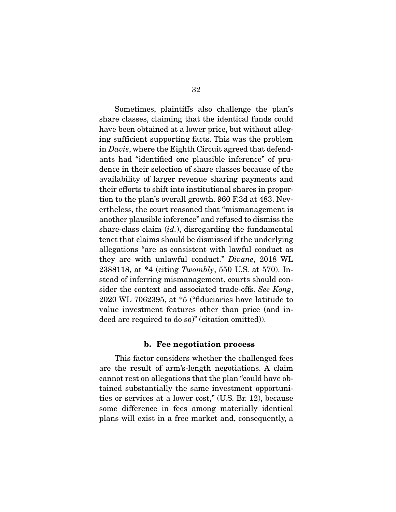Sometimes, plaintiffs also challenge the plan's share classes, claiming that the identical funds could have been obtained at a lower price, but without alleging sufficient supporting facts. This was the problem in Davis, where the Eighth Circuit agreed that defendants had "identified one plausible inference" of prudence in their selection of share classes because of the availability of larger revenue sharing payments and their efforts to shift into institutional shares in proportion to the plan's overall growth. 960 F.3d at 483. Nevertheless, the court reasoned that "mismanagement is another plausible inference" and refused to dismiss the share-class claim  $(id.)$ , disregarding the fundamental tenet that claims should be dismissed if the underlying allegations "are as consistent with lawful conduct as they are with unlawful conduct." Divane, 2018 WL 2388118, at  $*4$  (citing Twombly, 550 U.S. at 570). Instead of inferring mismanagement, courts should consider the context and associated trade-offs. See Kong, 2020 WL 7062395, at \*5 ("fiduciaries have latitude to value investment features other than price (and indeed are required to do so)" (citation omitted)).

#### **b. Fee negotiation process**

 This factor considers whether the challenged fees are the result of arm's-length negotiations. A claim cannot rest on allegations that the plan "could have obtained substantially the same investment opportunities or services at a lower cost," (U.S. Br. 12), because some difference in fees among materially identical plans will exist in a free market and, consequently, a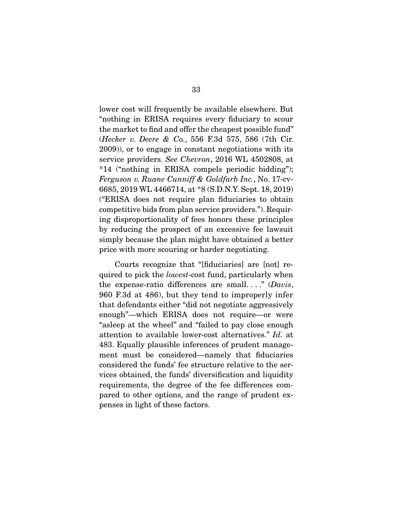lower cost will frequently be available elsewhere. But "nothing in ERISA requires every fiduciary to scour the market to find and offer the cheapest possible fund" (Hecker v. Deere & Co., 556 F.3d 575, 586 (7th Cir. 2009)), or to engage in constant negotiations with its service providers. See Chevron, 2016 WL 4502808, at \*14 ("nothing in ERISA compels periodic bidding"); Ferguson v. Ruane Cunniff & Goldfarb Inc., No. 17-cv-6685, 2019 WL 4466714, at \*8 (S.D.N.Y. Sept. 18, 2019) ("ERISA does not require plan fiduciaries to obtain competitive bids from plan service providers."). Requiring disproportionality of fees honors these principles by reducing the prospect of an excessive fee lawsuit simply because the plan might have obtained a better price with more scouring or harder negotiating.

 Courts recognize that "[fiduciaries] are [not] required to pick the lowest-cost fund, particularly when the expense-ratio differences are small...." (Davis, 960 F.3d at 486), but they tend to improperly infer that defendants either "did not negotiate aggressively enough"—which ERISA does not require—or were "asleep at the wheel" and "failed to pay close enough attention to available lower-cost alternatives." Id. at 483. Equally plausible inferences of prudent management must be considered—namely that fiduciaries considered the funds' fee structure relative to the services obtained, the funds' diversification and liquidity requirements, the degree of the fee differences compared to other options, and the range of prudent expenses in light of these factors.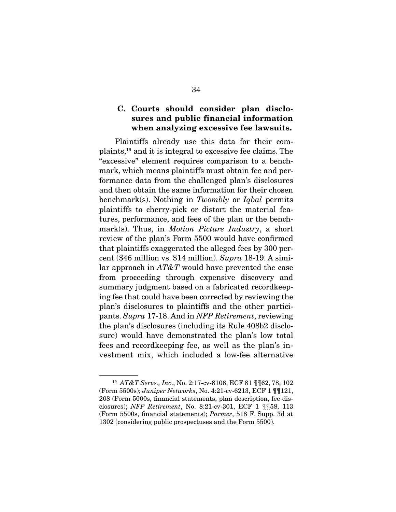#### **C. Courts should consider plan disclosures and public financial information when analyzing excessive fee lawsuits.**

 Plaintiffs already use this data for their complaints,19 and it is integral to excessive fee claims. The "excessive" element requires comparison to a benchmark, which means plaintiffs must obtain fee and performance data from the challenged plan's disclosures and then obtain the same information for their chosen benchmark(s). Nothing in Twombly or Iqbal permits plaintiffs to cherry-pick or distort the material features, performance, and fees of the plan or the benchmark(s). Thus, in *Motion Picture Industry*, a short review of the plan's Form 5500 would have confirmed that plaintiffs exaggerated the alleged fees by 300 percent (\$46 million vs. \$14 million). Supra 18-19. A similar approach in  $AT\&T$  would have prevented the case from proceeding through expensive discovery and summary judgment based on a fabricated recordkeeping fee that could have been corrected by reviewing the plan's disclosures to plaintiffs and the other participants. Supra 17-18. And in NFP Retirement, reviewing the plan's disclosures (including its Rule 408b2 disclosure) would have demonstrated the plan's low total fees and recordkeeping fee, as well as the plan's investment mix, which included a low-fee alternative

<sup>19</sup> AT&T Servs., Inc., No. 2:17-cv-8106, ECF 81 ¶¶62, 78, 102 (Form 5500s); Juniper Networks, No. 4:21-cv-6213, ECF 1 ¶¶121, 208 (Form 5000s, financial statements, plan description, fee disclosures); NFP Retirement, No. 8:21-cv-301, ECF 1 ¶¶58, 113 (Form 5500s, financial statements); Parmer, 518 F. Supp. 3d at 1302 (considering public prospectuses and the Form 5500).